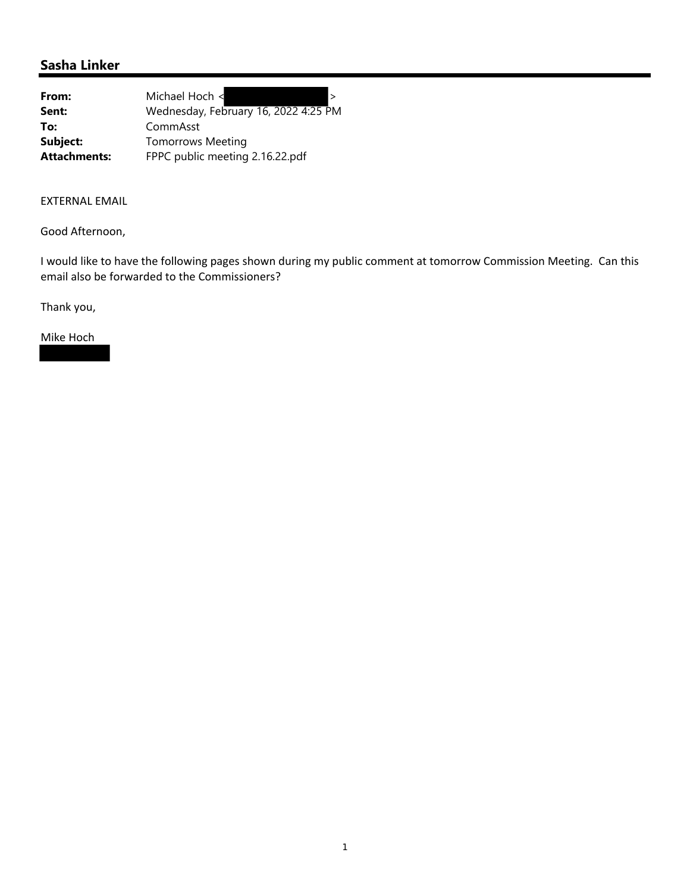## **Sasha Linker**

| From:               | Michael Hoch <                       |
|---------------------|--------------------------------------|
| Sent:               | Wednesday, February 16, 2022 4:25 PM |
| To:                 | CommAsst                             |
| Subject:            | <b>Tomorrows Meeting</b>             |
| <b>Attachments:</b> | FPPC public meeting 2.16.22.pdf      |

#### EXTERNAL EMAIL

Good Afternoon,

I would like to have the following pages shown during my public comment at tomorrow Commission Meeting. Can this email also be forwarded to the Commissioners?

Thank you,

Mike Hoch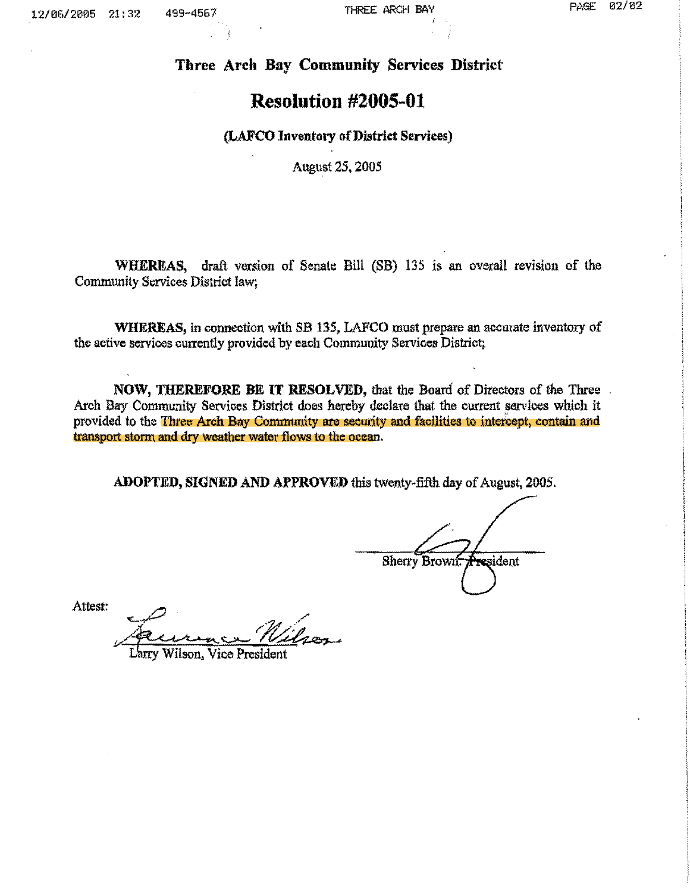# **Three Arch Bay Community Services District**

# **Resolution #2005-01**

#### **(LAFCO Inventory of District Services)**

August 25, 2005

**WHEREAS,** draft version of Senate Bill (SB) 135 is an overall revision of the Community Services District law;

**WHEREAS,** in connection with SB 135, LAFCO must prepare an accurate inventory of the active services currently provided by each Community Services District;

**NOW, THEREFORE BE IT RESOLVED,** that the Board of Directors of the Three Arch Bay Community Services District does hereby declare that the current services which it provided to the Three Arch Bay Community are security and facilities to intercept, contain and transport storm. and dry weather water flows to the ocean.

**ADOPTED, SIGNED AND APPROVED** this twenty-fifth day of August, 2005.

resident **Sherry Brown** 

Attest:

 $\sim$   $\approx$ 

Wilson, Vice Presiden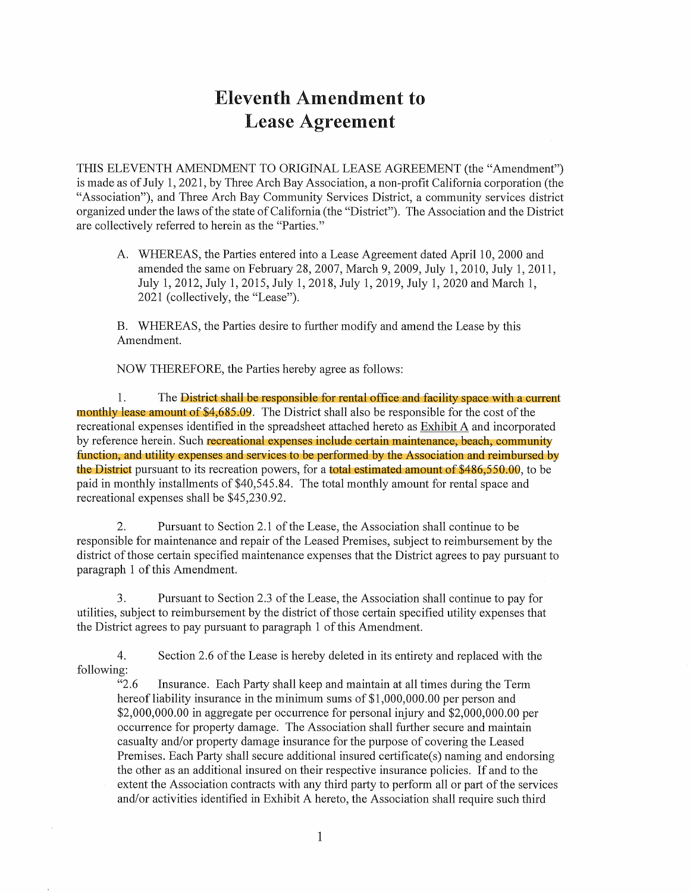# Eleventh Amendment to Lease Agreement

THIS ELEVENTH AMENDMENT TO ORIGINAL LEASE AGREEMENT (the "Amendment") is made as of July 1, 2021, by Three Arch Bay Association, a non-profit California corporation (the "Association"), and Three Arch Bay Community Services District, a community services district organized under the laws of the state of California ( the "District"). The Association and the District are collectively referred to herein as the "Parties."

A. WHEREAS, the Parties entered into a Lease Agreement dated April 10, 2000 and amended the same on February 28, 2007, March 9, 2009, July 1, 2010, July 1, 2011, July 1, 2012, July 1, 2015, July 1, 2018, July 1, 2019, July 1, 2020 and March 1, 2021 (collectively, the "Lease").

B. WHEREAS, the Parties desire to further modify and amend the Lease by this Amendment.

NOW THEREFORE, the Parties hereby agree as follows:

1. The District shall be responsible for rental office and facility space with a current monthly lease amount of \$4,685.09. The District shall also be responsible for the cost of the recreational expenses identified in the spreadsheet attached hereto as Exhibit A and incorporated by reference herein. Such recreational expenses include certain maintenance, beach, community function, and utility expenses and services to be performed by the Association and reimbursed by the District pursuant to its recreation powers, for a total estimated amount of \$486,550.00, to be paid in monthly installments of \$40,545.84. The total monthly amount for rental space and recreational expenses shall be \$45,230.92.

2. Pursuant to Section 2.1 of the Lease, the Association shall continue to be responsible for maintenance and repair of the Leased Premises, subject to reimbursement by the district of those certain specified maintenance expenses that the District agrees to pay pursuant to paragraph 1 of this Amendment.

3. Pursuant to Section 2.3 of the Lease, the Association shall continue to pay for utilities, subject to reimbursement by the district of those certain specified utility expenses that the District agrees to pay pursuant to paragraph 1 of this Amendment.

4. Section 2.6 of the Lease is hereby deleted in its entirety and replaced with the following:

"2.6 Insurance. Each Party shall keep and maintain at all times during the Term hereof liability insurance in the minimum sums of  $$1,000,000.00$  per person and \$2,000,000.00 in aggregate per occurrence for personal injury and \$2,000,000.00 per occurrence for property damage. The Association shall further secure and maintain casualty and/or property damage insurance for the purpose of covering the Leased Premises. Each Party shall secure additional insured certificate(s) naming and endorsing the other as an additional insured on their respective insurance policies. If and to the extent the Association contracts with any third party to perform all or part of the services and/or activities identified in Exhibit A hereto, the Association shall require such third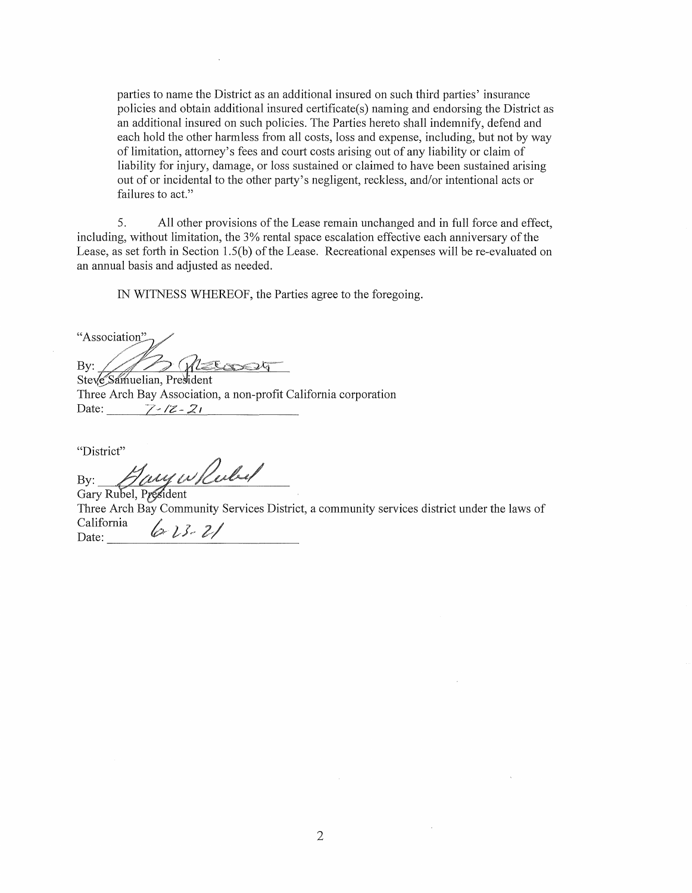parties to name the District as an additional insured on such third parties' insurance policies and obtain additional insured certificate(s) naming and endorsing the District as an additional insured on such policies. The Parties hereto shall indemnify, defend and each hold the other harmless from all costs, loss and expense, including, but not by way of limitation, attorney's fees and court costs arising out of any liability or claim of liability for injury, damage, or loss sustained or claimed to have been sustained arising out of or incidental to the other party's negligent, reckless, and/or intentional acts or failures to act."

5. All other provisions of the Lease remain unchanged and in full force and effect, including, without limitation, the 3% rental space escalation effective each anniversary of the Lease, as set forth in Section 1.5(b) of the Lease. Recreational expenses will be re-evaluated on an annual basis and adjusted as needed.

IN WITNESS WHEREOF, the Parties agree to the foregoing.

"Association" By:  $\overline{\phantom{a}}$ 

Steve Samuelian, President Three Arch Bay Association, a non-profit California corporation Date:  $7 - 7 = 21$ 

"District"

By:  $\mathcal{L}/\mathcal{O}(\mathcal{O})$ 

Gary Rubel, P*i* Three Arch Bay Community Services District, a community services district under the laws of California California  $\left( \partial z \right)$   $\partial z$   $\partial z$   $\partial z$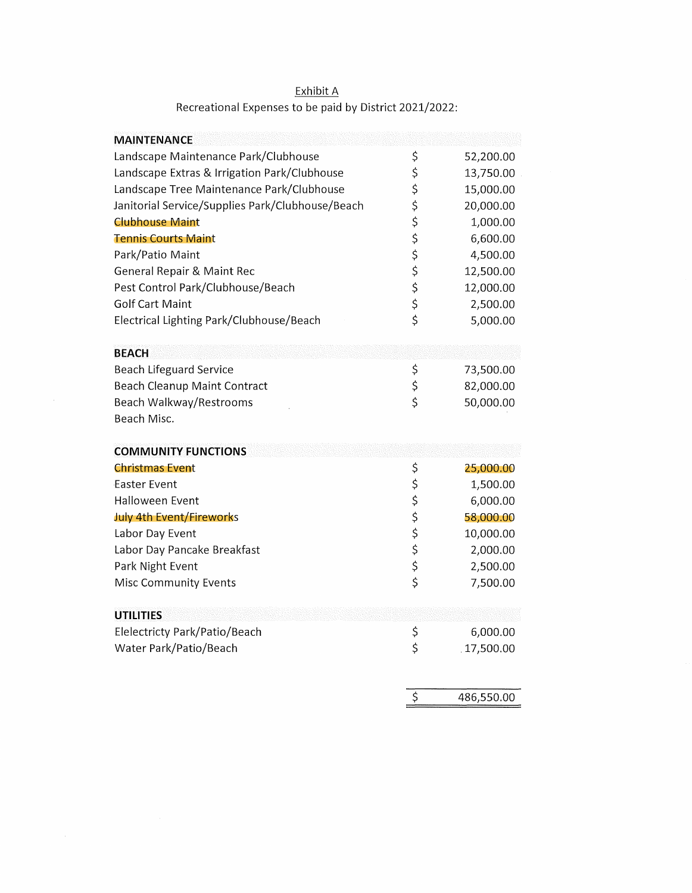| <b>MAINTENANCE</b>                               |                         |           |
|--------------------------------------------------|-------------------------|-----------|
| Landscape Maintenance Park/Clubhouse             | \$                      | 52,200.00 |
| Landscape Extras & Irrigation Park/Clubhouse     | \$                      | 13,750.00 |
| Landscape Tree Maintenance Park/Clubhouse        | \$                      | 15,000.00 |
| Janitorial Service/Supplies Park/Clubhouse/Beach | \$                      | 20,000.00 |
| <b>Clubhouse Maint</b>                           | \$                      | 1,000.00  |
| <b>Tennis Courts Maint</b>                       | \$                      | 6,600.00  |
| Park/Patio Maint                                 |                         | 4,500.00  |
| <b>General Repair &amp; Maint Rec</b>            |                         | 12,500.00 |
| Pest Control Park/Clubhouse/Beach                | \$\$\$                  | 12,000.00 |
| <b>Golf Cart Maint</b>                           | \$                      | 2,500.00  |
| Electrical Lighting Park/Clubhouse/Beach         | $\overline{\mathsf{S}}$ | 5,000.00  |
|                                                  |                         |           |
| <b>BEACH</b>                                     |                         |           |
| <b>Beach Lifeguard Service</b>                   | \$                      | 73,500.00 |
| Beach Cleanup Maint Contract                     | \$<br>\$                | 82,000.00 |
| Beach Walkway/Restrooms                          |                         | 50,000.00 |
| Beach Misc.                                      |                         |           |
|                                                  |                         |           |
| <b>COMMUNITY FUNCTIONS</b>                       |                         |           |
| <b>Christmas Event</b>                           | \$                      | 25,000.00 |
| <b>Easter Event</b>                              | \$                      | 1,500.00  |
| <b>Halloween Event</b>                           |                         | 6,000.00  |
| July 4th Event/Fireworks                         | \$\$\$                  | 58,000.00 |
| Labor Day Event                                  |                         | 10,000.00 |
| Labor Day Pancake Breakfast                      | \$<br>\$                | 2,000.00  |
| Park Night Event                                 |                         | 2,500.00  |
| Misc Community Events                            | $\overline{\mathsf{S}}$ | 7,500.00  |
|                                                  |                         |           |
| <b>UTILITIES</b>                                 |                         |           |
| Elelectricty Park/Patio/Beach                    | \$                      | 6,000.00  |
| Water Park/Patio/Beach                           | \$                      | 17,500.00 |
|                                                  |                         |           |
|                                                  |                         |           |

486,550.00

 $\overline{\xi}$ 

## Exhibit A Recreational Expenses to be paid by District 2021/2022: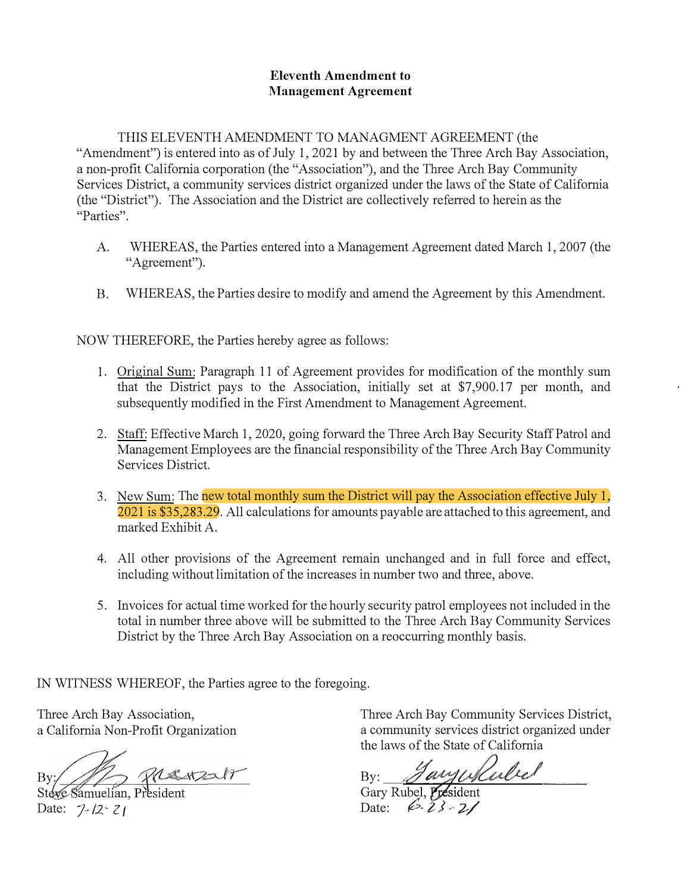#### **Eleventh Amendment to Management Agreement**

THIS ELEVENTH AMENDMENT TO MANAGMENT AGREEMENT (the "Amendment") is entered into as of July 1, 2021 by and between the Three Arch Bay Association, a non-profit California corporation (the "Association"), and the Three Arch Bay Community Services District, a community services district organized under the laws of the State of California (the "District"). The Association and the District are collectively referred to herein as the "Parties".

- A. WHEREAS, the Parties entered into a Management Agreement dated March 1, 2007 (the "Agreement").
- B. WHEREAS, the Parties desire to modify and amend the Agreement by this Amendment.

NOW THEREFORE, the Parties hereby agree as follows:

- 1. Original Sum: Paragraph 11 of Agreement provides for modification of the monthly sum that the District pays to the Association, initially set at \$7,900.17 per month, and subsequently modified in the First Amendment to Management Agreement.
- 2. Staff: Effective March 1, 2020, going forward the Three Arch Bay Security Staff Patrol and Management Employees are the financial responsibility of the Three Arch Bay Community Services District.
- 3. New Sum: The new total monthly sum the District will pay the Association effective July 1, 2021 is \$35,283.29. All calculations for amounts payable are attached to this agreement, and marked Exhibit A.
- 4. All other provisions of the Agreement remain unchanged and in full force and effect, including without limitation of the increases in number two and three, above.
- 5. Invoices for actual time worked for the hourly security patrol employees not included in the total in number three above will be submitted to the Three Arch Bay Community Services District by the Three Arch Bay Association on a reoccurring monthly basis.

IN WITNESS WHEREOF, the Parties agree to the foregoing.

Three Arch Bay Association, a California Non-Profit Organization

2 Premain By:

Stege Sar Date: 7-12<sup>-</sup> Z<sub>1</sub>

Three Arch Bay Community Services District, a community services district organized under the laws of the State of California

By: *Jany Willelel* 

Date: 6.23-21